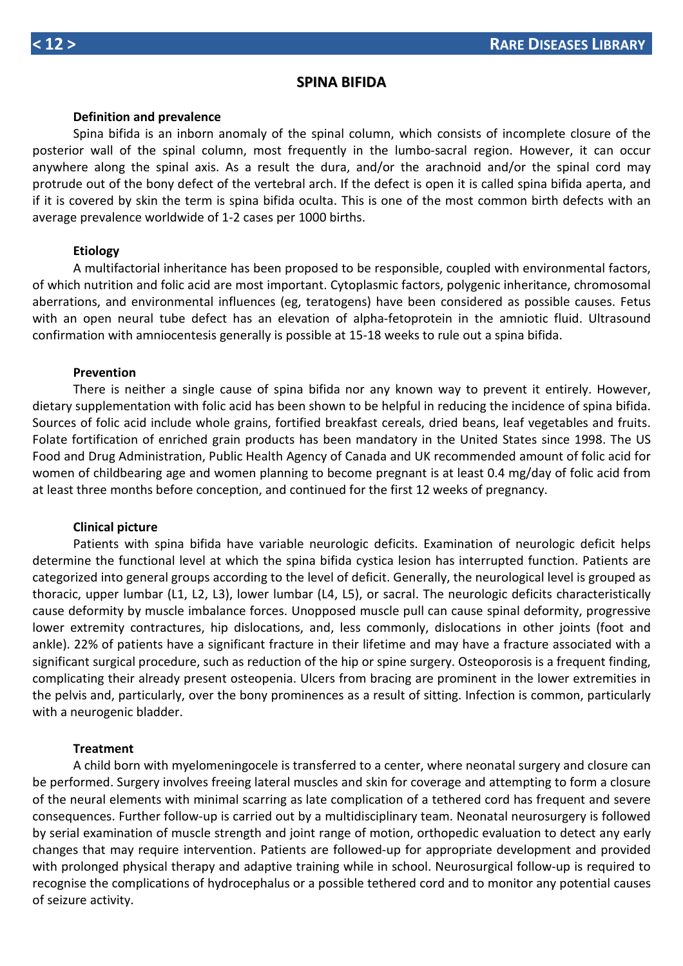## **SPINA BIFIDA**

#### **Definition and prevalence**

Spina bifida is an inborn anomaly of the spinal column, which consists of incomplete closure of the posterior wall of the spinal column, most frequently in the lumbo-sacral region. However, it can occur anywhere along the spinal axis. As a result the dura, and/or the arachnoid and/or the spinal cord may protrude out of the bony defect of the vertebral arch. If the defect is open it is called spina bifida aperta, and if it is covered by skin the term is spina bifida oculta. This is one of the most common birth defects with an average prevalence worldwide of 1-2 cases per 1000 births.

#### **Etiology**

A multifactorial inheritance has been proposed to be responsible, coupled with environmental factors, of which nutrition and folic acid are most important. Cytoplasmic factors, polygenic inheritance, chromosomal aberrations, and environmental influences (eg, teratogens) have been considered as possible causes. Fetus with an open neural tube defect has an elevation of alpha-fetoprotein in the amniotic fluid. Ultrasound confirmation with amniocentesis generally is possible at 15-18 weeks to rule out a spina bifida.

### **Prevention**

There is neither a single cause of spina bifida nor any known way to prevent it entirely. However, dietary supplementation with folic acid has been shown to be helpful in reducing the incidence of spina bifida. Sources of folic acid include whole grains, fortified breakfast cereals, dried beans, leaf vegetables and fruits. Folate fortification of enriched grain products has been mandatory in the United States since 1998. The US Food and Drug Administration, Public Health Agency of Canada and UK recommended amount of folic acid for women of childbearing age and women planning to become pregnant is at least 0.4 mg/day of folic acid from at least three months before conception, and continued for the first 12 weeks of pregnancy.

#### **Clinical picture**

Patients with spina bifida have variable neurologic deficits. Examination of neurologic deficit helps determine the functional level at which the spina bifida cystica lesion has interrupted function. Patients are categorized into general groups according to the level of deficit. Generally, the neurological level is grouped as thoracic, upper lumbar (L1, L2, L3), lower lumbar (L4, L5), or sacral. The neurologic deficits characteristically cause deformity by muscle imbalance forces. Unopposed muscle pull can cause spinal deformity, progressive lower extremity contractures, hip dislocations, and, less commonly, dislocations in other joints (foot and ankle). 22% of patients have a significant fracture in their lifetime and may have a fracture associated with a significant surgical procedure, such as reduction of the hip or spine surgery. Osteoporosis is a frequent finding, complicating their already present osteopenia. Ulcers from bracing are prominent in the lower extremities in the pelvis and, particularly, over the bony prominences as a result of sitting. Infection is common, particularly with a neurogenic bladder.

#### **Treatment**

A child born with myelomeningocele is transferred to a center, where neonatal surgery and closure can be performed. Surgery involves freeing lateral muscles and skin for coverage and attempting to form a closure of the neural elements with minimal scarring as late complication of a tethered cord has frequent and severe consequences. Further follow-up is carried out by a multidisciplinary team. Neonatal neurosurgery is followed by serial examination of muscle strength and joint range of motion, orthopedic evaluation to detect any early changes that may require intervention. Patients are followed-up for appropriate development and provided with prolonged physical therapy and adaptive training while in school. Neurosurgical follow-up is required to recognise the complications of hydrocephalus or a possible tethered cord and to monitor any potential causes of seizure activity.